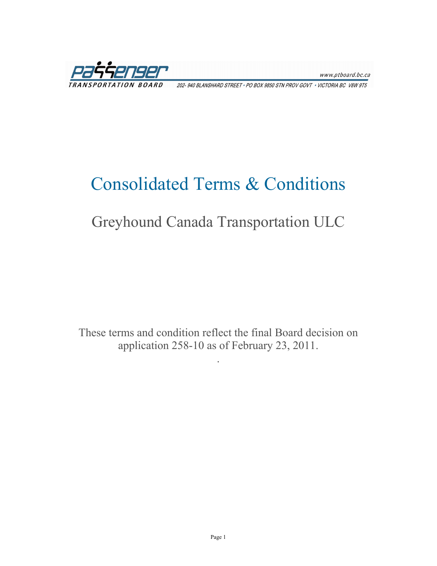www.ptboard.bc.ca

202-940 BLANSHARD STREET . PO BOX 9850 STN PROV GOVT . VICTORIA BC V8W 9T5

## Consolidated Terms & Conditions

## Greyhound Canada Transportation ULC

These terms and condition reflect the final Board decision on application 258-10 as of February 23, 2011.

.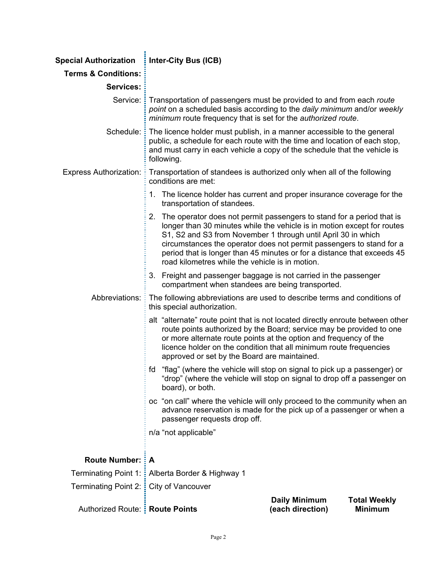| <b>Special Authorization</b>             | Inter-City Bus (ICB)                                                                                                                                                                                                                                                                                                                                                                                                       |                                          |                                       |
|------------------------------------------|----------------------------------------------------------------------------------------------------------------------------------------------------------------------------------------------------------------------------------------------------------------------------------------------------------------------------------------------------------------------------------------------------------------------------|------------------------------------------|---------------------------------------|
| <b>Terms &amp; Conditions:</b>           |                                                                                                                                                                                                                                                                                                                                                                                                                            |                                          |                                       |
| <b>Services:</b>                         |                                                                                                                                                                                                                                                                                                                                                                                                                            |                                          |                                       |
|                                          | Service: Transportation of passengers must be provided to and from each route<br>point on a scheduled basis according to the daily minimum and/or weekly<br>minimum route frequency that is set for the authorized route.                                                                                                                                                                                                  |                                          |                                       |
| Schedule: <b>E</b>                       | The licence holder must publish, in a manner accessible to the general<br>public, a schedule for each route with the time and location of each stop,<br>and must carry in each vehicle a copy of the schedule that the vehicle is<br>following.                                                                                                                                                                            |                                          |                                       |
| <b>Express Authorization:</b>            | Transportation of standees is authorized only when all of the following<br>conditions are met:                                                                                                                                                                                                                                                                                                                             |                                          |                                       |
|                                          | 1. The licence holder has current and proper insurance coverage for the<br>transportation of standees.                                                                                                                                                                                                                                                                                                                     |                                          |                                       |
|                                          | 2. The operator does not permit passengers to stand for a period that is<br>longer than 30 minutes while the vehicle is in motion except for routes<br>S1, S2 and S3 from November 1 through until April 30 in which<br>circumstances the operator does not permit passengers to stand for a<br>period that is longer than 45 minutes or for a distance that exceeds 45<br>road kilometres while the vehicle is in motion. |                                          |                                       |
|                                          | 3. Freight and passenger baggage is not carried in the passenger<br>compartment when standees are being transported.                                                                                                                                                                                                                                                                                                       |                                          |                                       |
|                                          | Abbreviations: : The following abbreviations are used to describe terms and conditions of<br>this special authorization.                                                                                                                                                                                                                                                                                                   |                                          |                                       |
|                                          | alt "alternate" route point that is not located directly enroute between other<br>route points authorized by the Board; service may be provided to one<br>or more alternate route points at the option and frequency of the<br>licence holder on the condition that all minimum route frequencies<br>approved or set by the Board are maintained.                                                                          |                                          |                                       |
|                                          | "flag" (where the vehicle will stop on signal to pick up a passenger) or<br>fd<br>"drop" (where the vehicle will stop on signal to drop off a passenger on<br>board), or both.                                                                                                                                                                                                                                             |                                          |                                       |
|                                          | oc "on call" where the vehicle will only proceed to the community when an<br>advance reservation is made for the pick up of a passenger or when a<br>passenger requests drop off.                                                                                                                                                                                                                                          |                                          |                                       |
|                                          | n/a "not applicable"                                                                                                                                                                                                                                                                                                                                                                                                       |                                          |                                       |
| <b>Route Number: : A</b>                 |                                                                                                                                                                                                                                                                                                                                                                                                                            |                                          |                                       |
|                                          | Terminating Point 1: : Alberta Border & Highway 1                                                                                                                                                                                                                                                                                                                                                                          |                                          |                                       |
| Terminating Point 2: : City of Vancouver |                                                                                                                                                                                                                                                                                                                                                                                                                            |                                          |                                       |
| Authorized Route: : Route Points         |                                                                                                                                                                                                                                                                                                                                                                                                                            | <b>Daily Minimum</b><br>(each direction) | <b>Total Weekly</b><br><b>Minimum</b> |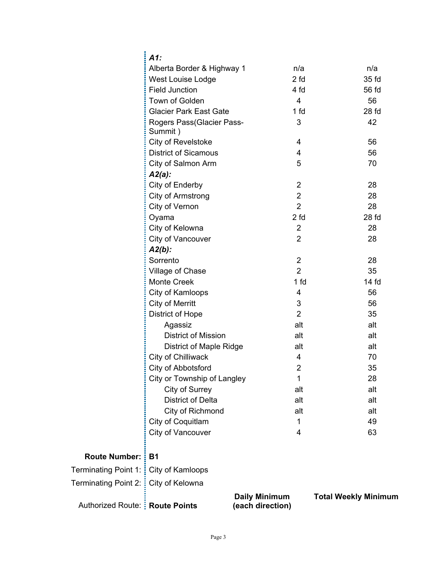|                                         | $A1$ :                               |                 |                           |
|-----------------------------------------|--------------------------------------|-----------------|---------------------------|
|                                         | Alberta Border & Highway 1           | n/a             | n/a                       |
|                                         | West Louise Lodge                    | 2 <sub>fd</sub> | 35 fd                     |
|                                         | <b>Field Junction</b>                | 4 fd            | 56 fd                     |
|                                         | Town of Golden                       | 4               | 56                        |
|                                         | <b>Glacier Park East Gate</b>        | 1 fd            | 28 <sub>0</sub>           |
|                                         | Rogers Pass(Glacier Pass-<br>Summit) | 3               | 42                        |
|                                         | City of Revelstoke                   | 4               | 56                        |
|                                         | <b>District of Sicamous</b>          | 4               | 56                        |
|                                         | City of Salmon Arm                   | 5               | 70                        |
|                                         | $A2(a)$ :                            |                 |                           |
|                                         | City of Enderby                      | $\overline{2}$  | 28                        |
|                                         | City of Armstrong                    | 2               | 28                        |
|                                         | City of Vernon                       | $\overline{2}$  | 28                        |
|                                         | Oyama                                | 2 <sub>fd</sub> | 28 <sub>0</sub>           |
|                                         | City of Kelowna                      | 2               | 28                        |
|                                         | City of Vancouver                    | 2               | 28                        |
|                                         | $A2(b)$ :                            |                 |                           |
|                                         | Sorrento                             | 2               | 28                        |
|                                         | Village of Chase                     | 2               | 35                        |
|                                         | <b>Monte Creek</b>                   | 1 fd            | 14 <sub>fd</sub>          |
|                                         | City of Kamloops                     | 4               | 56                        |
|                                         | City of Merritt                      | 3               | 56                        |
|                                         | <b>District of Hope</b>              | 2               | 35                        |
|                                         | Agassiz                              | alt             | alt                       |
|                                         | <b>District of Mission</b>           | alt             | alt                       |
|                                         | <b>District of Maple Ridge</b>       | alt             | alt                       |
|                                         | City of Chilliwack                   | 4               | 70                        |
|                                         | City of Abbotsford                   | $\overline{2}$  | 35                        |
|                                         | City or Township of Langley          | 1               | 28                        |
|                                         | City of Surrey                       | alt             | alt                       |
|                                         | <b>District of Delta</b>             | alt             | alt                       |
|                                         | City of Richmond                     | alt             | alt                       |
|                                         | City of Coquitlam                    | 1               | 49                        |
|                                         | City of Vancouver                    | 4               | 63                        |
| <b>Route Number:</b>                    | $\frac{1}{2}$ B1                     |                 |                           |
| Terminating Point 1: : City of Kamloops |                                      |                 |                           |
| Terminating Point 2: <b>E</b>           | City of Kelowna                      |                 |                           |
|                                         |                                      | Daily Minimum   | <b>Total Weekly Minin</b> |

| Authorized Route: : Route Points |  |  |
|----------------------------------|--|--|

**Daily Minimum (each direction)**  **Total Weekly Minimum**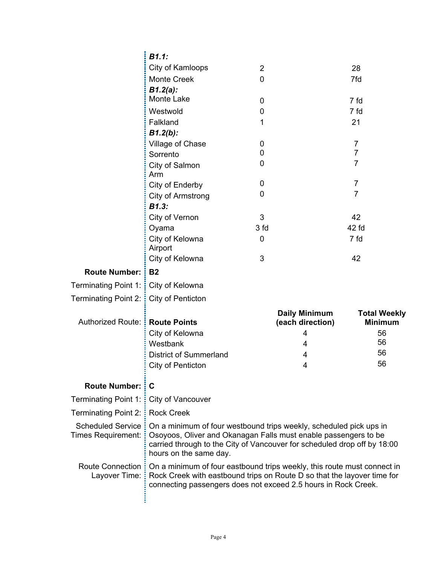|                                           | B1.1:                                                                                                                                                                                                                                       |                |                                          |                                       |
|-------------------------------------------|---------------------------------------------------------------------------------------------------------------------------------------------------------------------------------------------------------------------------------------------|----------------|------------------------------------------|---------------------------------------|
|                                           | City of Kamloops                                                                                                                                                                                                                            | $\overline{2}$ |                                          | 28                                    |
|                                           | <b>Monte Creek</b>                                                                                                                                                                                                                          | 0              |                                          | 7fd                                   |
|                                           | $B1.2(a)$ :                                                                                                                                                                                                                                 |                |                                          |                                       |
|                                           | Monte Lake                                                                                                                                                                                                                                  | 0              |                                          | 7 fd                                  |
|                                           | Westwold                                                                                                                                                                                                                                    | 0              |                                          | 7 fd                                  |
|                                           | Falkland                                                                                                                                                                                                                                    | 1              |                                          | 21                                    |
|                                           | $B1.2(b)$ :                                                                                                                                                                                                                                 |                |                                          |                                       |
|                                           | Village of Chase                                                                                                                                                                                                                            | 0              |                                          | $\overline{7}$                        |
|                                           | Sorrento                                                                                                                                                                                                                                    | 0              |                                          | $\overline{7}$<br>$\overline{7}$      |
|                                           | City of Salmon<br>Arm                                                                                                                                                                                                                       | 0              |                                          |                                       |
|                                           | City of Enderby                                                                                                                                                                                                                             | 0              |                                          | 7                                     |
|                                           | City of Armstrong                                                                                                                                                                                                                           | 0              |                                          | $\overline{7}$                        |
|                                           | B1.3:                                                                                                                                                                                                                                       |                |                                          |                                       |
|                                           | City of Vernon                                                                                                                                                                                                                              | 3              |                                          | 42                                    |
|                                           | Oyama                                                                                                                                                                                                                                       | 3 fd           |                                          | 42 fd                                 |
|                                           | City of Kelowna<br>Airport                                                                                                                                                                                                                  | 0              |                                          | 7 fd                                  |
|                                           | City of Kelowna                                                                                                                                                                                                                             | 3              |                                          | 42                                    |
| Route Number: :                           | <b>B2</b>                                                                                                                                                                                                                                   |                |                                          |                                       |
| Terminating Point 1: : City of Kelowna    |                                                                                                                                                                                                                                             |                |                                          |                                       |
| Terminating Point 2: :                    | City of Penticton                                                                                                                                                                                                                           |                |                                          |                                       |
| Authorized Route: :                       | <b>Route Points</b>                                                                                                                                                                                                                         |                | <b>Daily Minimum</b><br>(each direction) | <b>Total Weekly</b><br><b>Minimum</b> |
|                                           | City of Kelowna                                                                                                                                                                                                                             |                | 4                                        | 56                                    |
|                                           | Westbank                                                                                                                                                                                                                                    |                | 4                                        | 56                                    |
|                                           | <b>District of Summerland</b>                                                                                                                                                                                                               |                | 4                                        | 56                                    |
|                                           | City of Penticton                                                                                                                                                                                                                           |                | 4                                        | 56                                    |
| <b>Route Number: : C</b>                  |                                                                                                                                                                                                                                             |                |                                          |                                       |
| Terminating Point 1:                      | City of Vancouver                                                                                                                                                                                                                           |                |                                          |                                       |
| Terminating Point 2: E                    | <b>Rock Creek</b>                                                                                                                                                                                                                           |                |                                          |                                       |
| Scheduled Service:<br>Times Requirement:  | On a minimum of four westbound trips weekly, scheduled pick ups in<br>Osoyoos, Oliver and Okanagan Falls must enable passengers to be<br>carried through to the City of Vancouver for scheduled drop off by 18:00<br>hours on the same day. |                |                                          |                                       |
| <b>Route Connection:</b><br>Layover Time: | On a minimum of four eastbound trips weekly, this route must connect in<br>Rock Creek with eastbound trips on Route D so that the layover time for<br>connecting passengers does not exceed 2.5 hours in Rock Creek.                        |                |                                          |                                       |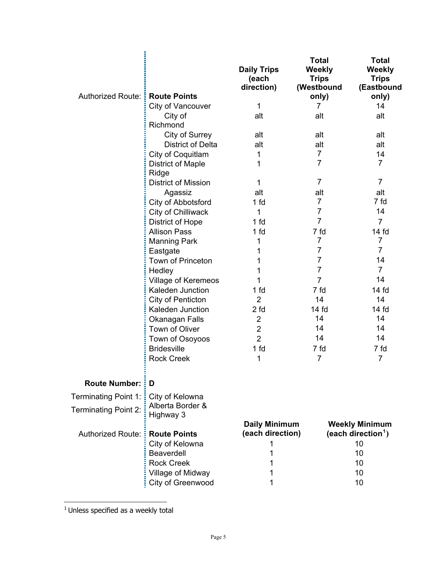|                             |                                        | <b>Daily Trips</b><br>(each<br>direction) | <b>Total</b><br>Weekly<br><b>Trips</b><br>(Westbound | <b>Total</b><br>Weekly<br><b>Trips</b><br>(Eastbound    |
|-----------------------------|----------------------------------------|-------------------------------------------|------------------------------------------------------|---------------------------------------------------------|
| Authorized Route: :         | <b>Route Points</b>                    |                                           | only)                                                | only)                                                   |
|                             | City of Vancouver                      | 1                                         | 7                                                    | 14                                                      |
|                             | City of<br>Richmond                    | alt                                       | alt                                                  | alt                                                     |
|                             | City of Surrey                         | alt                                       | alt                                                  | alt                                                     |
|                             | <b>District of Delta</b>               | alt                                       | alt                                                  | alt                                                     |
|                             | City of Coquitlam                      | 1                                         | 7                                                    | 14                                                      |
|                             | <b>District of Maple</b><br>Ridge      | 1                                         | 7                                                    | $\overline{7}$                                          |
|                             | <b>District of Mission</b>             | 1                                         | 7                                                    | $\overline{7}$                                          |
|                             | Agassiz                                | alt                                       | alt                                                  | alt                                                     |
|                             | City of Abbotsford                     | 1 <sub>fd</sub>                           | $\overline{7}$                                       | 7 fd                                                    |
|                             | City of Chilliwack                     | 1                                         | 7                                                    | 14                                                      |
|                             | <b>District of Hope</b>                | 1 <sub>fd</sub>                           | $\overline{7}$                                       | $\overline{7}$                                          |
|                             | <b>Allison Pass</b>                    | 1 <sub>fd</sub>                           | 7 fd                                                 | 14 <sub>fd</sub>                                        |
|                             | <b>Manning Park</b>                    | 1                                         | $\overline{7}$                                       | 7                                                       |
|                             | Eastgate                               | 1                                         | 7                                                    | $\overline{7}$                                          |
|                             | <b>Town of Princeton</b>               | 1                                         | 7                                                    | 14                                                      |
|                             | Hedley                                 | 1                                         | 7                                                    | $\overline{7}$                                          |
|                             | <b>Village of Keremeos</b>             | 1                                         | $\overline{7}$                                       | 14                                                      |
|                             | Kaleden Junction                       | 1 fd                                      | 7 fd                                                 | 14 fd                                                   |
|                             | City of Penticton                      | $\overline{2}$                            | 14                                                   | 14                                                      |
|                             | Kaleden Junction                       | 2 <sub>fd</sub>                           | 14 <sub>fd</sub>                                     | 14 <sub>fd</sub>                                        |
|                             | Okanagan Falls                         | $\overline{2}$                            | 14                                                   | 14                                                      |
|                             | Town of Oliver                         | $\overline{2}$                            | 14                                                   | 14                                                      |
|                             | Town of Osoyoos                        | $\overline{2}$                            | 14                                                   | 14                                                      |
|                             | <b>Bridesville</b>                     | 1 <sub>fd</sub>                           | 7 fd                                                 | 7 fd                                                    |
|                             | <b>Rock Creek</b>                      | 1                                         | $\overline{7}$                                       | $\overline{7}$                                          |
| <b>Route Number: : D</b>    |                                        |                                           |                                                      |                                                         |
| Terminating Point 1:        | City of Kelowna                        |                                           |                                                      |                                                         |
| <b>Terminating Point 2:</b> | Alberta Border &<br>Highway 3          |                                           |                                                      |                                                         |
| Authorized Route: :         | <b>Route Points</b>                    | <b>Daily Minimum</b><br>(each direction)  |                                                      | <b>Weekly Minimum</b><br>(each direction <sup>1</sup> ) |
|                             | City of Kelowna                        | 1                                         |                                                      | 10                                                      |
|                             | <b>Beaverdell</b>                      | 1                                         |                                                      | 10                                                      |
|                             | <b>Rock Creek</b>                      | 1                                         |                                                      | 10                                                      |
|                             | Village of Midway<br>City of Greenwood | 1                                         |                                                      | 10<br>10                                                |
|                             |                                        |                                           |                                                      |                                                         |

<span id="page-4-0"></span> $<sup>1</sup>$  Unless specified as a weekly total</sup>

 $\overline{a}$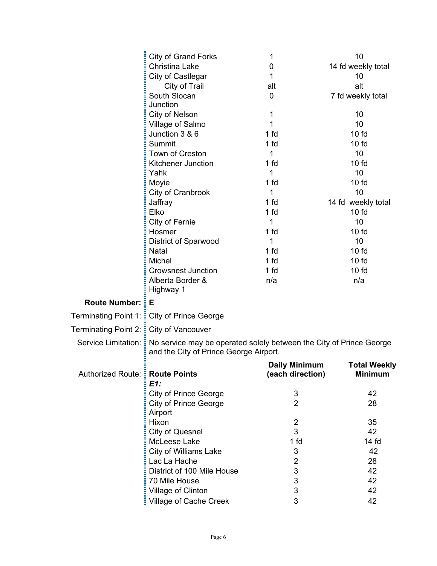|                                       | <b>City of Grand Forks</b>                                                                                                        | 1                    | 10                  |
|---------------------------------------|-----------------------------------------------------------------------------------------------------------------------------------|----------------------|---------------------|
|                                       | <b>Christina Lake</b>                                                                                                             | 0                    | 14 fd weekly total  |
|                                       | City of Castlegar                                                                                                                 | 1                    | 10                  |
|                                       | City of Trail                                                                                                                     | alt                  | alt                 |
|                                       | South Slocan                                                                                                                      | 0                    | 7 fd weekly total   |
|                                       | Junction                                                                                                                          |                      |                     |
|                                       | City of Nelson                                                                                                                    | 1                    | 10                  |
|                                       | Village of Salmo                                                                                                                  | 1                    | 10                  |
|                                       | Junction 3 & 6                                                                                                                    | 1 fd                 | $10f$ d             |
|                                       | Summit                                                                                                                            | 1 <sub>fd</sub>      | 10f                 |
|                                       | Town of Creston                                                                                                                   | 1                    | 10                  |
|                                       | Kitchener Junction                                                                                                                | 1 fd                 | 10f                 |
|                                       | Yahk                                                                                                                              | 1                    | 10                  |
|                                       | Moyie                                                                                                                             | 1 <sub>fd</sub>      | 10f                 |
|                                       | City of Cranbrook                                                                                                                 | 1                    | 10                  |
|                                       | Jaffray                                                                                                                           | 1 fd                 | 14 fd weekly total  |
|                                       | Elko                                                                                                                              | 1 <sub>fd</sub>      | $10f$ d             |
|                                       | City of Fernie                                                                                                                    | 1                    | 10                  |
|                                       | Hosmer                                                                                                                            | 1 fd                 | 10f                 |
|                                       | <b>District of Sparwood</b>                                                                                                       | 1                    | 10                  |
|                                       | Natal                                                                                                                             | 1 fd                 | 10f                 |
|                                       | Michel                                                                                                                            | 1 <sub>fd</sub>      | 10f                 |
|                                       | <b>Crowsnest Junction</b>                                                                                                         | 1 fd                 | $10f$ d             |
|                                       | Alberta Border &                                                                                                                  | n/a                  | n/a                 |
|                                       | Highway 1                                                                                                                         |                      |                     |
| Route Number: :                       | Е                                                                                                                                 |                      |                     |
| Terminating Point 1: :                | <b>City of Prince George</b>                                                                                                      |                      |                     |
| Terminating Point 2: :                | City of Vancouver                                                                                                                 |                      |                     |
|                                       | Service Limitation: No service may be operated solely between the City of Prince George<br>and the City of Prince George Airport. |                      |                     |
|                                       |                                                                                                                                   | <b>Daily Minimum</b> | <b>Total Weekly</b> |
| Authorized Route: <b>Route Points</b> |                                                                                                                                   | (each direction)     | <b>Minimum</b>      |
|                                       | $E1$ :                                                                                                                            |                      |                     |
|                                       | <b>City of Prince George</b>                                                                                                      | 3                    | 42                  |
|                                       | <b>City of Prince George</b>                                                                                                      | $\overline{2}$       | 28                  |
|                                       | Airport                                                                                                                           |                      |                     |
|                                       | Hixon                                                                                                                             | $\overline{2}$       | 35                  |
|                                       | <b>City of Quesnel</b>                                                                                                            | 3                    | 42                  |
|                                       | McLeese Lake                                                                                                                      | 1 fd                 | 14f                 |
|                                       | City of Williams Lake                                                                                                             | 3                    | 42                  |
|                                       | Lac La Hache                                                                                                                      | 2                    | 28                  |
|                                       | District of 100 Mile House                                                                                                        | 3                    | 42                  |
|                                       | 70 Mile House                                                                                                                     | 3                    | 42                  |
|                                       | Village of Clinton                                                                                                                | 3                    | 42                  |
|                                       | Village of Cache Creek                                                                                                            | 3                    | 42                  |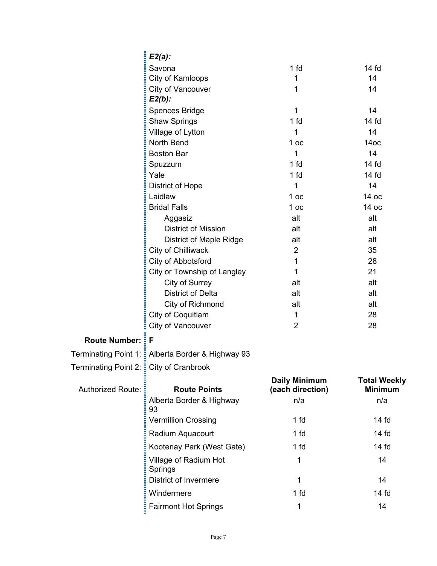|                                          | $E2(a)$ :                                          |                                          |                                       |
|------------------------------------------|----------------------------------------------------|------------------------------------------|---------------------------------------|
|                                          | Savona                                             | 1 <sub>fd</sub>                          | 14 fd                                 |
|                                          | City of Kamloops                                   | 1                                        | 14                                    |
|                                          | City of Vancouver<br>$E2(b)$ :                     | 1                                        | 14                                    |
|                                          | Spences Bridge                                     | 1                                        | 14                                    |
|                                          | <b>Shaw Springs</b>                                | 1 <sub>fd</sub>                          | 14 fd                                 |
|                                          | Village of Lytton                                  | 1                                        | 14                                    |
|                                          | North Bend                                         | 1 <sub>oc</sub>                          | 14 <sub>OC</sub>                      |
|                                          | <b>Boston Bar</b>                                  | 1                                        | 14                                    |
|                                          | Spuzzum                                            | 1 <sub>fd</sub>                          | 14f                                   |
|                                          | Yale                                               | 1 fd                                     | 14 fd                                 |
|                                          | District of Hope                                   | 1                                        | 14                                    |
|                                          | Laidlaw                                            | 1 <sub>oc</sub>                          | 14 oc                                 |
|                                          | <b>Bridal Falls</b>                                | 1 <sub>oc</sub>                          | 14 oc                                 |
|                                          | Aggasiz                                            | alt                                      | alt                                   |
|                                          | <b>District of Mission</b>                         | alt                                      | alt                                   |
|                                          | <b>District of Maple Ridge</b>                     | alt                                      | alt                                   |
|                                          | City of Chilliwack                                 | $\overline{2}$                           | 35                                    |
|                                          | City of Abbotsford                                 | 1                                        | 28                                    |
|                                          | City or Township of Langley                        | 1                                        | 21                                    |
|                                          | City of Surrey                                     | alt                                      | alt                                   |
|                                          | <b>District of Delta</b>                           | alt                                      | alt                                   |
|                                          | City of Richmond                                   | alt                                      | alt                                   |
|                                          | City of Coquitlam                                  | 1<br>$\overline{2}$                      | 28<br>28                              |
|                                          | City of Vancouver                                  |                                          |                                       |
| <b>Route Number: F</b>                   |                                                    |                                          |                                       |
|                                          | Terminating Point 1: : Alberta Border & Highway 93 |                                          |                                       |
| Terminating Point 2: : City of Cranbrook |                                                    |                                          |                                       |
| <b>Authorized Route:</b>                 | <b>Route Points</b>                                | <b>Daily Minimum</b><br>(each direction) | <b>Total Weekly</b><br><b>Minimum</b> |
|                                          | Alberta Border & Highway<br>93                     | n/a                                      | n/a                                   |
|                                          | <b>Vermillion Crossing</b>                         | 1 fd                                     | 14 <sub>fd</sub>                      |
|                                          | Radium Aquacourt                                   | 1 fd                                     | $14f$ d                               |
|                                          | Kootenay Park (West Gate)                          | 1 fd                                     | $14f$ d                               |
|                                          | Village of Radium Hot<br>Springs                   | 1                                        | 14                                    |
|                                          | <b>District of Invermere</b>                       | 1                                        | 14                                    |
|                                          | Windermere                                         | 1 fd                                     | $14f$ d                               |
|                                          | <b>Fairmont Hot Springs</b>                        | 1                                        | 14                                    |
|                                          |                                                    |                                          |                                       |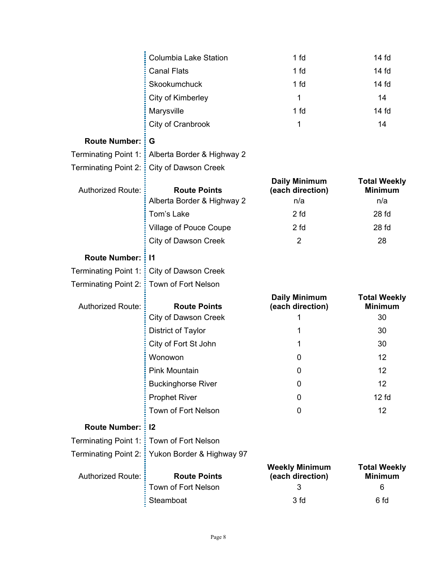|                                    | <b>Columbia Lake Station</b>               | 1 fd                                           | 14 fd                                      |
|------------------------------------|--------------------------------------------|------------------------------------------------|--------------------------------------------|
|                                    | <b>Canal Flats</b>                         | 1 fd                                           | 14 fd                                      |
|                                    | Skookumchuck                               | 1 fd                                           | 14 <sub>fd</sub>                           |
|                                    | City of Kimberley                          | 1                                              | 14                                         |
|                                    | Marysville                                 | 1 fd                                           | 14 fd                                      |
|                                    | City of Cranbrook                          | 1                                              | 14                                         |
| Route Number: :                    | G                                          |                                                |                                            |
| Terminating Point 1: :             | Alberta Border & Highway 2                 |                                                |                                            |
| Terminating Point 2: :             | City of Dawson Creek                       |                                                |                                            |
| <b>Authorized Route:</b>           | <b>Route Points</b>                        | <b>Daily Minimum</b><br>(each direction)       | <b>Total Weekly</b><br><b>Minimum</b>      |
|                                    | Alberta Border & Highway 2                 | n/a                                            | n/a                                        |
|                                    | Tom's Lake                                 | 2 fd                                           | 28 fd                                      |
|                                    | Village of Pouce Coupe                     | 2 fd                                           | 28 fd                                      |
|                                    | <b>City of Dawson Creek</b>                | $\overline{2}$                                 | 28                                         |
| <b>Route Number: : 11</b>          |                                            |                                                |                                            |
| Terminating Point 1: :             | <b>City of Dawson Creek</b>                |                                                |                                            |
| Terminating Point 2: $\frac{1}{2}$ | Town of Fort Nelson                        |                                                |                                            |
| <b>Authorized Route:</b>           | <b>Route Points</b>                        | <b>Daily Minimum</b><br>(each direction)       | <b>Total Weekly</b><br><b>Minimum</b>      |
|                                    | <b>City of Dawson Creek</b>                | 1                                              | 30                                         |
|                                    | District of Taylor                         | 1                                              | 30                                         |
|                                    | City of Fort St John                       | 1                                              | 30                                         |
|                                    | Wonowon                                    | 0                                              | 12                                         |
|                                    | Pink Mountain                              | 0                                              | 12                                         |
|                                    | <b>Buckinghorse River</b>                  | 0                                              | 12                                         |
|                                    | <b>Prophet River</b>                       | 0                                              | 12 f <sub>d</sub>                          |
|                                    | Town of Fort Nelson                        | 0                                              | 12                                         |
| <b>Route Number: : 12</b>          |                                            |                                                |                                            |
| <b>Terminating Point 1:</b>        | Town of Fort Nelson                        |                                                |                                            |
| Terminating Point 2: :             | Yukon Border & Highway 97                  |                                                |                                            |
| <b>Authorized Route:</b>           | <b>Route Points</b><br>Town of Fort Nelson | <b>Weekly Minimum</b><br>(each direction)<br>3 | <b>Total Weekly</b><br><b>Minimum</b><br>6 |
|                                    |                                            |                                                |                                            |
|                                    | Steamboat                                  | 3 fd                                           | 6 fd                                       |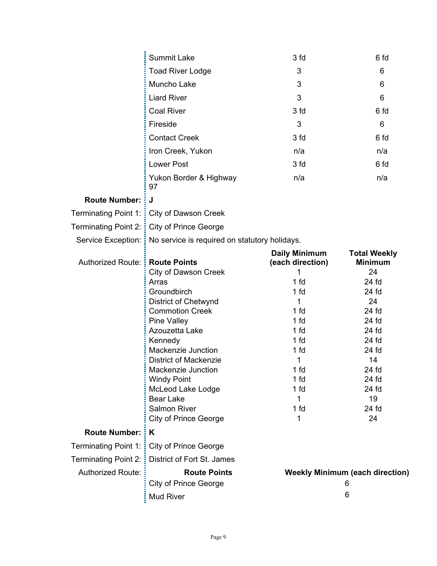|                             | <b>Summit Lake</b>                                                 | 3 fd                 | 6 fd                                   |
|-----------------------------|--------------------------------------------------------------------|----------------------|----------------------------------------|
|                             | <b>Toad River Lodge</b>                                            | 3                    | 6                                      |
|                             | Muncho Lake                                                        | 3                    | 6                                      |
|                             | <b>Liard River</b>                                                 | 3                    | 6                                      |
|                             | <b>Coal River</b>                                                  | 3 fd                 | 6 fd                                   |
|                             | Fireside                                                           | 3                    | 6                                      |
|                             | <b>Contact Creek</b>                                               | 3 fd                 | 6 fd                                   |
|                             | Iron Creek, Yukon                                                  | n/a                  | n/a                                    |
|                             | <b>Lower Post</b>                                                  | 3 fd                 | 6 fd                                   |
|                             | Yukon Border & Highway<br>97                                       | n/a                  | n/a                                    |
| <b>Route Number:</b>        | J                                                                  |                      |                                        |
| Terminating Point 1:        | City of Dawson Creek                                               |                      |                                        |
|                             | Terminating Point 2: City of Prince George                         |                      |                                        |
|                             | Service Exception: : No service is required on statutory holidays. |                      |                                        |
|                             |                                                                    | <b>Daily Minimum</b> | <b>Total Weekly</b>                    |
| Authorized Route:           | <b>E</b> Route Points                                              | (each direction)     | <b>Minimum</b>                         |
|                             | <b>City of Dawson Creek</b>                                        | 1                    | 24                                     |
|                             | Arras                                                              | 1 fd                 | 24 fd                                  |
|                             | Groundbirch                                                        | 1 fd                 | 24 fd                                  |
|                             | <b>District of Chetwynd</b><br><b>Commotion Creek</b>              | 1<br>1 fd            | 24<br>24 fd                            |
|                             | <b>Pine Valley</b>                                                 | 1 fd                 | 24 fd                                  |
|                             | Azouzetta Lake                                                     | 1 fd                 | 24 fd                                  |
|                             | Kennedy                                                            | 1 fd                 | 24 fd                                  |
|                             | Mackenzie Junction                                                 | 1 fd                 | 24 fd                                  |
|                             | <b>District of Mackenzie</b>                                       | 1                    | 14                                     |
|                             | Mackenzie Junction                                                 | 1 fd                 | 24 fd                                  |
|                             | <b>Windy Point</b>                                                 | 1 fd                 | 24 fd                                  |
|                             | McLeod Lake Lodge                                                  | 1 fd                 | 24 fd                                  |
|                             | <b>Bear Lake</b>                                                   | 1                    | 19                                     |
|                             | Salmon River                                                       | 1 fd                 | 24 fd                                  |
|                             | <b>City of Prince George</b>                                       | 1                    | 24                                     |
| <b>Route Number:</b>        | įΚ                                                                 |                      |                                        |
|                             | Terminating Point 1: City of Prince George                         |                      |                                        |
| <b>Terminating Point 2:</b> | District of Fort St. James                                         |                      |                                        |
| <b>Authorized Route:</b>    |                                                                    |                      | <b>Weekly Minimum (each direction)</b> |
|                             | <b>Route Points</b>                                                |                      |                                        |
|                             | <b>City of Prince George</b>                                       |                      | 6                                      |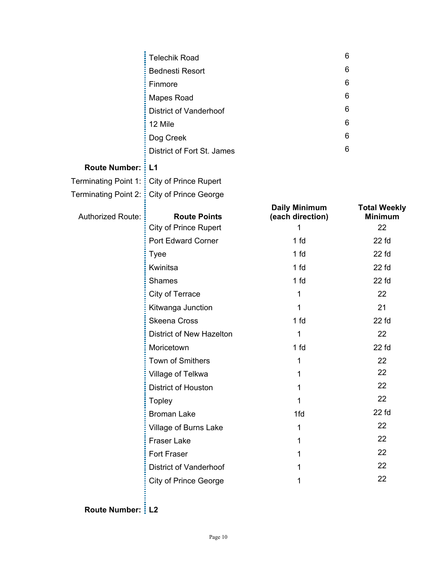|                           | <b>Telechik Road</b>                         |                                   | 6                                     |
|---------------------------|----------------------------------------------|-----------------------------------|---------------------------------------|
|                           | <b>Bednesti Resort</b>                       |                                   | 6                                     |
|                           | Finmore                                      |                                   | 6                                     |
|                           | Mapes Road                                   |                                   | 6                                     |
|                           | <b>District of Vanderhoof</b>                |                                   | 6                                     |
|                           | 12 Mile                                      |                                   | 6                                     |
|                           | Dog Creek                                    |                                   | 6                                     |
|                           | District of Fort St. James                   |                                   | 6                                     |
| <b>Route Number: : L1</b> |                                              |                                   |                                       |
|                           | Terminating Point 1: : City of Prince Rupert |                                   |                                       |
|                           | Terminating Point 2: : City of Prince George |                                   |                                       |
| <b>Authorized Route:</b>  | <b>Route Points</b>                          | Daily Minimum<br>(each direction) | <b>Total Weekly</b><br><b>Minimum</b> |
|                           | <b>City of Prince Rupert</b>                 | 1                                 | 22                                    |
|                           | Port Edward Corner                           | 1 <sub>fd</sub>                   | $22$ fd                               |
|                           | <b>Tyee</b>                                  | 1 <sub>fd</sub>                   | $22$ fd                               |
|                           | Kwinitsa                                     | 1 <sub>fd</sub>                   | $22$ fd                               |
|                           | <b>Shames</b>                                | 1 fd                              | $22$ fd                               |
|                           | City of Terrace                              | 1                                 | 22                                    |
|                           | Kitwanga Junction                            | 1                                 | 21                                    |
|                           | <b>Skeena Cross</b>                          | 1 fd                              | $22$ fd                               |
|                           | District of New Hazelton                     | 1                                 | 22                                    |
|                           | Moricetown                                   | 1 <sub>fd</sub>                   | $22$ fd                               |
|                           | <b>Town of Smithers</b>                      | 1                                 | 22                                    |
|                           | Village of Telkwa                            | 1                                 | 22                                    |
|                           | District of Houston                          | 1                                 | 22                                    |
|                           | <b>Topley</b>                                | 1                                 | 22                                    |
|                           | <b>Broman Lake</b>                           | 1fd                               | $22$ fd                               |
|                           | Village of Burns Lake                        | 1                                 | 22                                    |
|                           | <b>Fraser Lake</b>                           | 1                                 | 22                                    |
|                           | Fort Fraser                                  | 1                                 | 22                                    |
|                           | <b>District of Vanderhoof</b>                |                                   | 22                                    |
|                           | <b>City of Prince George</b>                 |                                   | 22                                    |

## **Route Number: L2**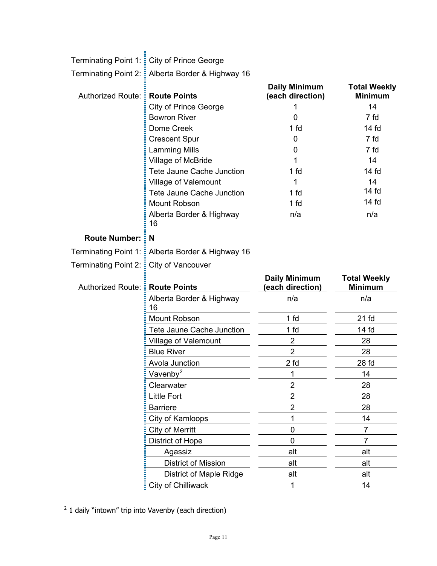|                                    | Terminating Point 1: : City of Prince George       |                                          |                                       |
|------------------------------------|----------------------------------------------------|------------------------------------------|---------------------------------------|
|                                    | Terminating Point 2: : Alberta Border & Highway 16 |                                          |                                       |
| <b>Authorized Route:</b>           | <b>Route Points</b>                                | <b>Daily Minimum</b><br>(each direction) | <b>Total Weekly</b><br><b>Minimum</b> |
|                                    | City of Prince George                              |                                          | 14                                    |
|                                    | <b>Bowron River</b>                                | 0                                        | 7 fd                                  |
|                                    | Dome Creek                                         | 1 <sub>fd</sub>                          | 14 <sub>fd</sub>                      |
|                                    | <b>Crescent Spur</b>                               | 0                                        | 7 fd                                  |
|                                    | <b>Lamming Mills</b>                               | 0                                        | 7 fd                                  |
|                                    | Village of McBride                                 | 1                                        | 14                                    |
|                                    | Tete Jaune Cache Junction                          | 1 fd                                     | $14f$ d                               |
|                                    | Village of Valemount                               | 1                                        | 14                                    |
|                                    | Tete Jaune Cache Junction                          | 1 <sub>fd</sub>                          | $14f$ d                               |
|                                    | Mount Robson                                       | 1 <sub>fd</sub>                          | $14f$ d                               |
|                                    | Alberta Border & Highway<br>16                     | n/a                                      | n/a                                   |
| <b>Route Number:</b>               | i N                                                |                                          |                                       |
| Terminating Point 1:               | Alberta Border & Highway 16                        |                                          |                                       |
| Terminating Point 2: $\frac{1}{2}$ | City of Vancouver                                  |                                          |                                       |
|                                    |                                                    |                                          |                                       |
| Authorized Route: Route Points     |                                                    | <b>Daily Minimum</b><br>(each direction) | <b>Total Weekly</b><br><b>Minimum</b> |
|                                    | Alberta Border & Highway                           | n/a                                      | n/a                                   |
|                                    | 16                                                 |                                          |                                       |
|                                    | Mount Robson                                       | 1 <sub>fd</sub><br>1 fd                  | 21 <sub>fd</sub><br>14 <sub>fd</sub>  |
|                                    | Tete Jaune Cache Junction                          |                                          |                                       |
|                                    | Village of Valemount<br><b>Blue River</b>          | $\mathbf{2}$<br>$\overline{2}$           | 28<br>28                              |
|                                    | Avola Junction                                     | 2 <sub>fd</sub>                          | 28 <sub>fd</sub>                      |
|                                    |                                                    | 1                                        | 14                                    |
|                                    | Vavenby <sup>2</sup>                               | $\overline{2}$                           | 28                                    |
|                                    | Clearwater<br><b>Little Fort</b>                   | $\overline{2}$                           | 28                                    |
|                                    | <b>Barriere</b>                                    | $\overline{2}$                           | 28                                    |
|                                    |                                                    | 1                                        | 14                                    |
|                                    | City of Kamloops<br>City of Merritt                | $\mathbf 0$                              | 7                                     |
|                                    | District of Hope                                   | $\mathbf{0}$                             | $\overline{7}$                        |
|                                    | Agassiz                                            | alt                                      | alt                                   |
|                                    | <b>District of Mission</b>                         | alt                                      | alt                                   |
|                                    | District of Maple Ridge                            | alt                                      | alt                                   |

<span id="page-10-0"></span> $\frac{1}{2}$  1 daily "intown" trip into Vavenby (each direction)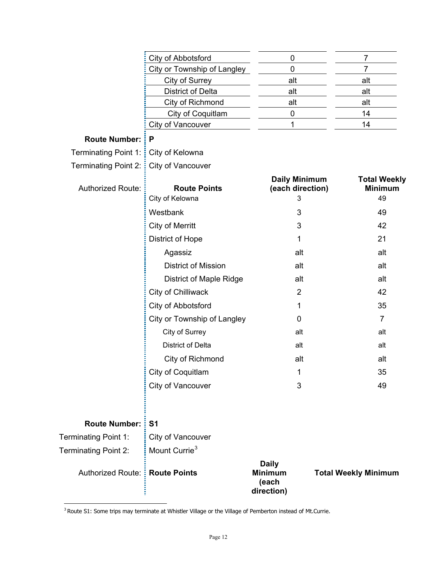|                                  | City of Abbotsford                     | $\mathbf 0$                                           | $\overline{7}$              |                                             |
|----------------------------------|----------------------------------------|-------------------------------------------------------|-----------------------------|---------------------------------------------|
|                                  | City or Township of Langley            | $\mathbf 0$                                           | 7                           |                                             |
|                                  | City of Surrey                         | alt                                                   | alt                         |                                             |
|                                  | <b>District of Delta</b>               | alt                                                   | alt                         |                                             |
|                                  | City of Richmond                       | alt                                                   | alt                         |                                             |
|                                  | <b>City of Coquitlam</b>               | $\boldsymbol{0}$                                      | 14                          |                                             |
|                                  | City of Vancouver                      | 1                                                     | 14                          |                                             |
| <b>Route Number:</b>             | P                                      |                                                       |                             |                                             |
| Terminating Point 1:             | City of Kelowna                        |                                                       |                             |                                             |
| Terminating Point 2: :           | City of Vancouver                      |                                                       |                             |                                             |
| <b>Authorized Route:</b>         | <b>Route Points</b><br>City of Kelowna | <b>Daily Minimum</b><br>(each direction)<br>3         |                             | <b>Total Weekly</b><br><b>Minimum</b><br>49 |
|                                  | Westbank                               | 3                                                     |                             | 49                                          |
|                                  | <b>City of Merritt</b>                 | 3                                                     |                             | 42                                          |
|                                  | District of Hope                       | 1                                                     |                             | 21                                          |
|                                  | Agassiz                                | alt                                                   |                             | alt                                         |
|                                  | <b>District of Mission</b>             | alt                                                   |                             | alt                                         |
|                                  | <b>District of Maple Ridge</b>         | alt                                                   |                             | alt                                         |
|                                  | City of Chilliwack                     | 2                                                     |                             | 42                                          |
|                                  | City of Abbotsford                     | 1                                                     |                             | 35                                          |
|                                  | City or Township of Langley            | 0                                                     |                             | $\overline{7}$                              |
|                                  | City of Surrey                         | alt                                                   |                             | alt                                         |
|                                  | District of Delta                      | alt                                                   |                             | alt                                         |
|                                  | City of Richmond                       | alt                                                   |                             | alt                                         |
|                                  | City of Coquitlam                      | $\mathbf{1}$                                          |                             | 35                                          |
|                                  | City of Vancouver                      | 3                                                     |                             | 49                                          |
| <b>Route Number: :</b>           | S <sub>1</sub>                         |                                                       |                             |                                             |
| Terminating Point 1:             | City of Vancouver                      |                                                       |                             |                                             |
| Terminating Point 2:             | Mount Currie <sup>3</sup>              |                                                       |                             |                                             |
| Authorized Route: : Route Points |                                        | <b>Daily</b><br><b>Minimum</b><br>(each<br>direction) | <b>Total Weekly Minimum</b> |                                             |

<span id="page-11-0"></span> $3$  Route S1: Some trips may terminate at Whistler Village or the Village of Pemberton instead of Mt.Currie.

 $\overline{a}$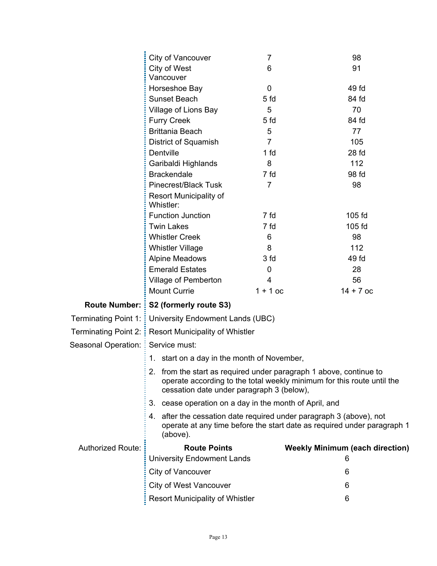|                                     | City of Vancouver                                                                                               | $\overline{7}$  | 98                                                                      |  |
|-------------------------------------|-----------------------------------------------------------------------------------------------------------------|-----------------|-------------------------------------------------------------------------|--|
|                                     | City of West<br>6<br>91                                                                                         |                 |                                                                         |  |
|                                     | Vancouver                                                                                                       |                 |                                                                         |  |
|                                     | Horseshoe Bay<br>0                                                                                              |                 | 49 fd                                                                   |  |
|                                     | Sunset Beach                                                                                                    | 5 fd            | 84 fd                                                                   |  |
|                                     | Village of Lions Bay                                                                                            | 5               | 70                                                                      |  |
|                                     | <b>Furry Creek</b>                                                                                              | 5 <sub>fd</sub> | 84 fd                                                                   |  |
|                                     | <b>Brittania Beach</b>                                                                                          | 5               | 77                                                                      |  |
|                                     | District of Squamish                                                                                            | $\overline{7}$  | 105                                                                     |  |
|                                     | Dentville                                                                                                       | 1 fd            | 28 fd                                                                   |  |
|                                     | 8<br>Garibaldi Highlands                                                                                        |                 | 112                                                                     |  |
|                                     | 7 fd<br><b>Brackendale</b>                                                                                      |                 | 98 fd                                                                   |  |
|                                     | Pinecrest/Black Tusk<br>$\overline{7}$<br>98                                                                    |                 |                                                                         |  |
|                                     | <b>Resort Municipality of</b><br>Whistler:                                                                      |                 |                                                                         |  |
|                                     | <b>Function Junction</b>                                                                                        | 7 fd<br>105 fd  |                                                                         |  |
|                                     | <b>Twin Lakes</b>                                                                                               | 7 fd            | 105 fd                                                                  |  |
|                                     | <b>Whistler Creek</b>                                                                                           | 6               | 98                                                                      |  |
|                                     | <b>Whistler Village</b>                                                                                         | 8               | 112                                                                     |  |
|                                     | <b>Alpine Meadows</b>                                                                                           | 3 fd            | 49 fd                                                                   |  |
|                                     | <b>Emerald Estates</b>                                                                                          | $\mathbf 0$     | 28                                                                      |  |
|                                     | Village of Pemberton                                                                                            | $\overline{4}$  | 56                                                                      |  |
|                                     | <b>Mount Currie</b>                                                                                             | $1 + 1$ oc      | $14 + 7$ oc                                                             |  |
|                                     | Route Number: : S2 (formerly route S3)                                                                          |                 |                                                                         |  |
|                                     | Terminating Point 1: : University Endowment Lands (UBC)                                                         |                 |                                                                         |  |
|                                     | Terminating Point 2: Resort Municipality of Whistler                                                            |                 |                                                                         |  |
| Seasonal Operation: E Service must: |                                                                                                                 |                 |                                                                         |  |
|                                     | 1. start on a day in the month of November,                                                                     |                 |                                                                         |  |
|                                     | 2. from the start as required under paragraph 1 above, continue to<br>cessation date under paragraph 3 (below), |                 | operate according to the total weekly minimum for this route until the  |  |
|                                     | 3. cease operation on a day in the month of April, and                                                          |                 |                                                                         |  |
|                                     | 4. after the cessation date required under paragraph 3 (above), not<br>(above).                                 |                 | operate at any time before the start date as required under paragraph 1 |  |
| <b>Authorized Route:</b>            | <b>Route Points</b>                                                                                             |                 | <b>Weekly Minimum (each direction)</b>                                  |  |
|                                     | <b>University Endowment Lands</b>                                                                               |                 | 6                                                                       |  |
|                                     | City of Vancouver<br>6                                                                                          |                 |                                                                         |  |
|                                     | <b>City of West Vancouver</b>                                                                                   |                 | 6                                                                       |  |
|                                     | <b>Resort Municipality of Whistler</b>                                                                          |                 | 6                                                                       |  |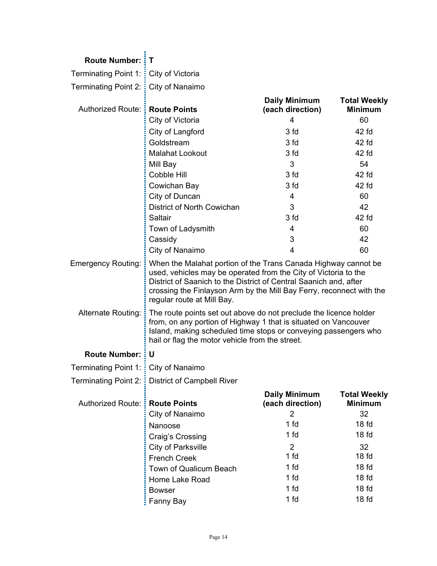| <b>Route Number: : T</b>                |                                                                                                                                                                                                                                                                                                              |                                          |                                       |
|-----------------------------------------|--------------------------------------------------------------------------------------------------------------------------------------------------------------------------------------------------------------------------------------------------------------------------------------------------------------|------------------------------------------|---------------------------------------|
| Terminating Point 1: : City of Victoria |                                                                                                                                                                                                                                                                                                              |                                          |                                       |
| Terminating Point 2: $\frac{1}{2}$      | City of Nanaimo                                                                                                                                                                                                                                                                                              |                                          |                                       |
| Authorized Route: :                     | <b>Route Points</b>                                                                                                                                                                                                                                                                                          | <b>Daily Minimum</b><br>(each direction) | <b>Total Weekly</b><br><b>Minimum</b> |
|                                         | City of Victoria                                                                                                                                                                                                                                                                                             | $\overline{4}$                           | 60                                    |
|                                         | City of Langford                                                                                                                                                                                                                                                                                             | 3 fd                                     | 42 fd                                 |
|                                         | Goldstream                                                                                                                                                                                                                                                                                                   | 3 fd                                     | 42 fd                                 |
|                                         | <b>Malahat Lookout</b>                                                                                                                                                                                                                                                                                       | 3 fd                                     | 42 fd                                 |
|                                         | Mill Bay                                                                                                                                                                                                                                                                                                     | 3                                        | 54                                    |
|                                         | Cobble Hill                                                                                                                                                                                                                                                                                                  | 3 fd                                     | 42 fd                                 |
|                                         | Cowichan Bay                                                                                                                                                                                                                                                                                                 | 3 fd                                     | 42 fd                                 |
|                                         | City of Duncan                                                                                                                                                                                                                                                                                               | 4                                        | 60                                    |
|                                         | District of North Cowichan                                                                                                                                                                                                                                                                                   | 3                                        | 42                                    |
|                                         | Saltair                                                                                                                                                                                                                                                                                                      | 3 fd                                     | 42 fd                                 |
|                                         | Town of Ladysmith                                                                                                                                                                                                                                                                                            | 4                                        | 60                                    |
|                                         | Cassidy                                                                                                                                                                                                                                                                                                      | 3                                        | 42                                    |
|                                         | City of Nanaimo                                                                                                                                                                                                                                                                                              | 4                                        | 60                                    |
| <b>Emergency Routing:</b>               | When the Malahat portion of the Trans Canada Highway cannot be<br>used, vehicles may be operated from the City of Victoria to the<br>District of Saanich to the District of Central Saanich and, after<br>crossing the Finlayson Arm by the Mill Bay Ferry, reconnect with the<br>regular route at Mill Bay. |                                          |                                       |
| Alternate Routing: :                    | The route points set out above do not preclude the licence holder<br>from, on any portion of Highway 1 that is situated on Vancouver<br>Island, making scheduled time stops or conveying passengers who<br>hail or flag the motor vehicle from the street.                                                   |                                          |                                       |
| <b>Route Number: : U</b>                |                                                                                                                                                                                                                                                                                                              |                                          |                                       |
| Terminating Point 1: : City of Nanaimo  |                                                                                                                                                                                                                                                                                                              |                                          |                                       |
|                                         | Terminating Point 2: : District of Campbell River                                                                                                                                                                                                                                                            |                                          |                                       |
| Authorized Route: :                     | <b>Route Points</b>                                                                                                                                                                                                                                                                                          | <b>Daily Minimum</b><br>(each direction) | <b>Total Weekly</b><br><b>Minimum</b> |
|                                         | City of Nanaimo                                                                                                                                                                                                                                                                                              | $\overline{2}$                           | 32                                    |
|                                         | Nanoose                                                                                                                                                                                                                                                                                                      | 1 fd                                     | 18 <sub>fd</sub>                      |
|                                         | Craig's Crossing                                                                                                                                                                                                                                                                                             | 1 fd                                     | 18 <sub>fd</sub>                      |
|                                         | City of Parksville                                                                                                                                                                                                                                                                                           | 2                                        | 32                                    |
|                                         | <b>French Creek</b>                                                                                                                                                                                                                                                                                          | 1 <sub>fd</sub>                          | 18 <sub>fd</sub>                      |
|                                         | Town of Qualicum Beach                                                                                                                                                                                                                                                                                       | 1 <sub>fd</sub>                          | 18 <sub>fd</sub>                      |
|                                         | Home Lake Road                                                                                                                                                                                                                                                                                               | 1 fd                                     | 18 <sub>fd</sub>                      |
|                                         | <b>Bowser</b>                                                                                                                                                                                                                                                                                                | 1 fd                                     | 18 <sub>fd</sub>                      |
|                                         | Fanny Bay                                                                                                                                                                                                                                                                                                    | 1 <sub>fd</sub>                          | 18 <sub>fd</sub>                      |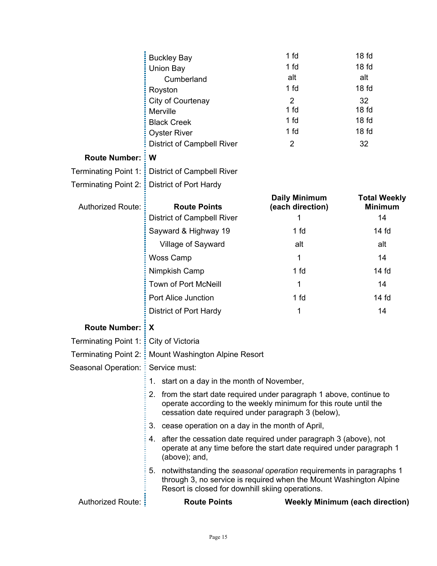|                                    | <b>Buckley Bay</b>                                                                                                                                                                               | 1 fd                     | 18 <sub>fd</sub>                       |
|------------------------------------|--------------------------------------------------------------------------------------------------------------------------------------------------------------------------------------------------|--------------------------|----------------------------------------|
|                                    | Union Bay                                                                                                                                                                                        | 1 fd<br>18 <sub>fd</sub> |                                        |
|                                    | Cumberland                                                                                                                                                                                       | alt                      | alt                                    |
|                                    | Royston                                                                                                                                                                                          | 1 fd                     | 18 <sub>fd</sub>                       |
|                                    | City of Courtenay                                                                                                                                                                                | $\overline{2}$           | 32                                     |
|                                    | Merville                                                                                                                                                                                         | 1 fd                     | 18 <sub>fd</sub>                       |
|                                    | <b>Black Creek</b>                                                                                                                                                                               | 1 fd                     | 18 <sub>fd</sub>                       |
|                                    | <b>Oyster River</b>                                                                                                                                                                              | 1 fd                     | 18 <sub>fd</sub>                       |
|                                    | <b>District of Campbell River</b>                                                                                                                                                                | $\overline{2}$           | 32                                     |
| <b>Route Number:</b>               | W                                                                                                                                                                                                |                          |                                        |
| Terminating Point 1: <b>i</b>      | <b>District of Campbell River</b>                                                                                                                                                                |                          |                                        |
| Terminating Point 2: :             | District of Port Hardy                                                                                                                                                                           |                          |                                        |
|                                    |                                                                                                                                                                                                  | <b>Daily Minimum</b>     | <b>Total Weekly</b>                    |
| <b>Authorized Route:</b>           | <b>Route Points</b>                                                                                                                                                                              | (each direction)         | <b>Minimum</b>                         |
|                                    | District of Campbell River                                                                                                                                                                       | 1                        | 14                                     |
|                                    | Sayward & Highway 19                                                                                                                                                                             | 1 fd                     | 14 fd                                  |
|                                    | Village of Sayward                                                                                                                                                                               | alt                      | alt                                    |
|                                    | <b>Woss Camp</b>                                                                                                                                                                                 | 1                        | 14                                     |
|                                    | Nimpkish Camp                                                                                                                                                                                    | 1 fd                     | 14 <sub>fd</sub>                       |
|                                    | <b>Town of Port McNeill</b>                                                                                                                                                                      | 1                        | 14                                     |
|                                    | Port Alice Junction                                                                                                                                                                              | 1 fd                     | 14 fd                                  |
|                                    | District of Port Hardy                                                                                                                                                                           | 1                        | 14                                     |
| <b>Route Number:</b>               | X                                                                                                                                                                                                |                          |                                        |
| Terminating Point 1: !             | City of Victoria                                                                                                                                                                                 |                          |                                        |
|                                    | Terminating Point 2: : Mount Washington Alpine Resort                                                                                                                                            |                          |                                        |
| Seasonal Operation: EService must: |                                                                                                                                                                                                  |                          |                                        |
|                                    | start on a day in the month of November,<br>1.                                                                                                                                                   |                          |                                        |
|                                    | 2. from the start date required under paragraph 1 above, continue to<br>operate according to the weekly minimum for this route until the<br>cessation date required under paragraph 3 (below),   |                          |                                        |
|                                    | 3. cease operation on a day in the month of April,                                                                                                                                               |                          |                                        |
|                                    | after the cessation date required under paragraph 3 (above), not<br>4.<br>operate at any time before the start date required under paragraph 1<br>(above); and,                                  |                          |                                        |
|                                    | 5. notwithstanding the seasonal operation requirements in paragraphs 1<br>through 3, no service is required when the Mount Washington Alpine<br>Resort is closed for downhill skiing operations. |                          |                                        |
| Authorized Route: :                | <b>Route Points</b>                                                                                                                                                                              |                          | <b>Weekly Minimum (each direction)</b> |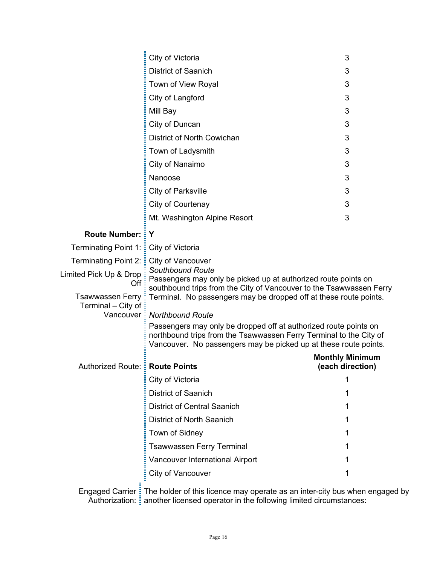|                                               | City of Victoria                                                                                                                                                                                           | 3                      |  |
|-----------------------------------------------|------------------------------------------------------------------------------------------------------------------------------------------------------------------------------------------------------------|------------------------|--|
|                                               | District of Saanich                                                                                                                                                                                        | 3                      |  |
|                                               | Town of View Royal                                                                                                                                                                                         | 3                      |  |
|                                               | City of Langford                                                                                                                                                                                           | 3                      |  |
|                                               | Mill Bay                                                                                                                                                                                                   | 3                      |  |
|                                               | City of Duncan                                                                                                                                                                                             | 3                      |  |
|                                               | District of North Cowichan                                                                                                                                                                                 | 3                      |  |
|                                               | Town of Ladysmith                                                                                                                                                                                          | 3                      |  |
|                                               | City of Nanaimo                                                                                                                                                                                            | 3                      |  |
|                                               | Nanoose                                                                                                                                                                                                    | 3                      |  |
|                                               | City of Parksville                                                                                                                                                                                         | 3                      |  |
|                                               | City of Courtenay                                                                                                                                                                                          | 3                      |  |
|                                               | Mt. Washington Alpine Resort                                                                                                                                                                               | 3                      |  |
| <b>Route Number: :</b>                        | Y                                                                                                                                                                                                          |                        |  |
| Terminating Point 1: $\frac{1}{2}$            | City of Victoria                                                                                                                                                                                           |                        |  |
| Terminating Point 2: :                        | City of Vancouver                                                                                                                                                                                          |                        |  |
| Limited Pick Up & Drop                        | <b>Southbound Route</b><br>Passengers may only be picked up at authorized route points on                                                                                                                  |                        |  |
| Off                                           | southbound trips from the City of Vancouver to the Tsawwassen Ferry                                                                                                                                        |                        |  |
| <b>Tsawwassen Ferry</b><br>Terminal - City of | Terminal. No passengers may be dropped off at these route points.                                                                                                                                          |                        |  |
|                                               | Vancouver : Northbound Route                                                                                                                                                                               |                        |  |
|                                               | Passengers may only be dropped off at authorized route points on<br>northbound trips from the Tsawwassen Ferry Terminal to the City of<br>Vancouver. No passengers may be picked up at these route points. |                        |  |
|                                               |                                                                                                                                                                                                            | <b>Monthly Minimum</b> |  |
| Authorized Route: : Route Points              |                                                                                                                                                                                                            | (each direction)       |  |
|                                               | City of Victoria                                                                                                                                                                                           | 1                      |  |
|                                               | <b>District of Saanich</b>                                                                                                                                                                                 |                        |  |
|                                               | <b>District of Central Saanich</b>                                                                                                                                                                         |                        |  |
|                                               | District of North Saanich                                                                                                                                                                                  |                        |  |
|                                               | Town of Sidney                                                                                                                                                                                             | 1                      |  |
|                                               | <b>Tsawwassen Ferry Terminal</b>                                                                                                                                                                           |                        |  |
|                                               | Vancouver International Airport                                                                                                                                                                            |                        |  |
|                                               | City of Vancouver                                                                                                                                                                                          |                        |  |
| <b>Engaged Carrier:</b>                       | The holder of this licence may operate as an inter-city bus when engaged by<br>Authorization: <i>i</i> another licensed operator in the following limited circumstances:                                   |                        |  |